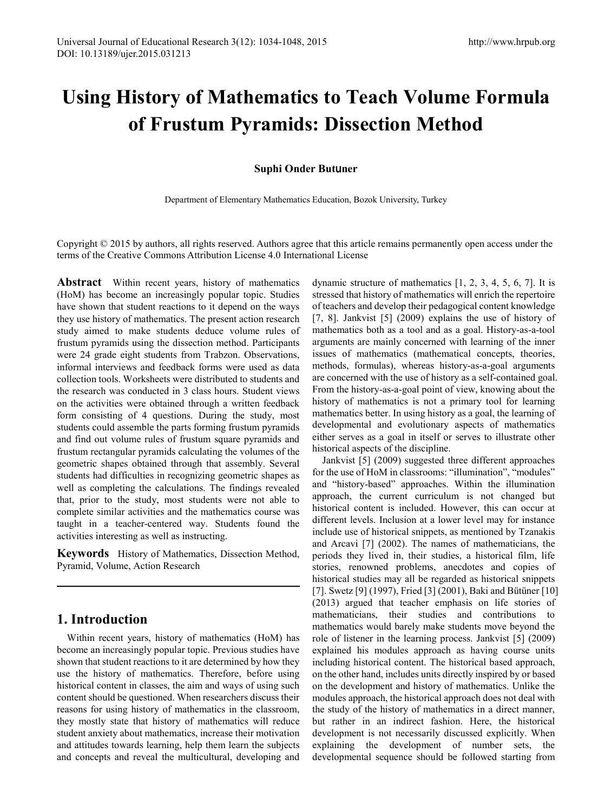# **Using History of Mathematics to Teach Volume Formula of Frustum Pyramids: Dissection Method**

#### **Suphi Onder But**u**ner**

Department of Elementary Mathematics Education, Bozok University, Turkey

Copyright  $\odot$  2015 by authors, all rights reserved. Authors agree that this article remains permanently open access under the terms of the Creative Commons Attribution License 4.0 International License

**Abstract** Within recent years, history of mathematics (HoM) has become an increasingly popular topic. Studies have shown that student reactions to it depend on the ways they use history of mathematics. The present action research study aimed to make students deduce volume rules of frustum pyramids using the dissection method. Participants were 24 grade eight students from Trabzon. Observations, informal interviews and feedback forms were used as data collection tools. Worksheets were distributed to students and the research was conducted in 3 class hours. Student views on the activities were obtained through a written feedback form consisting of 4 questions. During the study, most students could assemble the parts forming frustum pyramids and find out volume rules of frustum square pyramids and frustum rectangular pyramids calculating the volumes of the geometric shapes obtained through that assembly. Several students had difficulties in recognizing geometric shapes as well as completing the calculations. The findings revealed that, prior to the study, most students were not able to complete similar activities and the mathematics course was taught in a teacher-centered way. Students found the activities interesting as well as instructing.

**Keywords** History of Mathematics, Dissection Method, Pyramid, Volume, Action Research

# **1. Introduction**

Within recent years, history of mathematics (HoM) has become an increasingly popular topic. Previous studies have shown that student reactions to it are determined by how they use the history of mathematics. Therefore, before using historical content in classes, the aim and ways of using such content should be questioned. When researchers discuss their reasons for using history of mathematics in the classroom, they mostly state that history of mathematics will reduce student anxiety about mathematics, increase their motivation and attitudes towards learning, help them learn the subjects and concepts and reveal the multicultural, developing and

dynamic structure of mathematics [1, 2, 3, 4, 5, 6, 7]. It is stressed that history of mathematics will enrich the repertoire of teachers and develop their pedagogical content knowledge [7, 8]. Jankvist [5] (2009) explains the use of history of mathematics both as a tool and as a goal. History-as-a-tool arguments are mainly concerned with learning of the inner issues of mathematics (mathematical concepts, theories, methods, formulas), whereas history-as-a-goal arguments are concerned with the use of history as a self-contained goal. From the history-as-a-goal point of view, knowing about the history of mathematics is not a primary tool for learning mathematics better. In using history as a goal, the learning of developmental and evolutionary aspects of mathematics either serves as a goal in itself or serves to illustrate other historical aspects of the discipline.

Jankvist [5] (2009) suggested three different approaches for the use of HoM in classrooms: "illumination", "modules" and "history-based" approaches. Within the illumination approach, the current curriculum is not changed but historical content is included. However, this can occur at different levels. Inclusion at a lower level may for instance include use of historical snippets, as mentioned by Tzanakis and Arcavi [7] (2002). The names of mathematicians, the periods they lived in, their studies, a historical film, life stories, renowned problems, anecdotes and copies of historical studies may all be regarded as historical snippets [7]. Swetz [9] (1997), Fried [3] (2001), Baki and Bütüner [10] (2013) argued that teacher emphasis on life stories of mathematicians, their studies and contributions to mathematics would barely make students move beyond the role of listener in the learning process. Jankvist [5] (2009) explained his modules approach as having course units including historical content. The historical based approach, on the other hand, includes units directly inspired by or based on the development and history of mathematics. Unlike the modules approach, the historical approach does not deal with the study of the history of mathematics in a direct manner, but rather in an indirect fashion. Here, the historical development is not necessarily discussed explicitly. When explaining the development of number sets, the developmental sequence should be followed starting from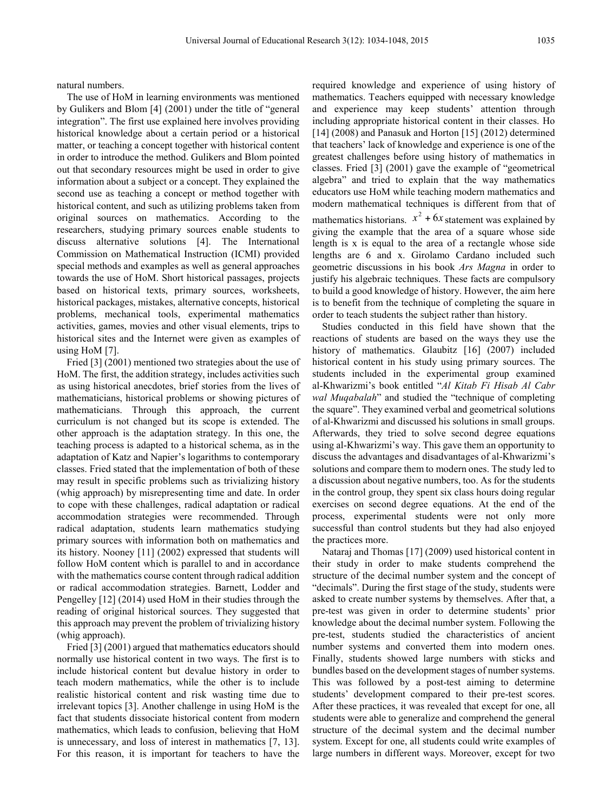natural numbers.

The use of HoM in learning environments was mentioned by Gulikers and Blom [4] (2001) under the title of "general integration". The first use explained here involves providing historical knowledge about a certain period or a historical matter, or teaching a concept together with historical content in order to introduce the method. Gulikers and Blom pointed out that secondary resources might be used in order to give information about a subject or a concept. They explained the second use as teaching a concept or method together with historical content, and such as utilizing problems taken from original sources on mathematics. According to the researchers, studying primary sources enable students to discuss alternative solutions [4]. The International Commission on Mathematical Instruction (ICMI) provided special methods and examples as well as general approaches towards the use of HoM. Short historical passages, projects based on historical texts, primary sources, worksheets, historical packages, mistakes, alternative concepts, historical problems, mechanical tools, experimental mathematics activities, games, movies and other visual elements, trips to historical sites and the Internet were given as examples of using HoM [7].

Fried [3] (2001) mentioned two strategies about the use of HoM. The first, the addition strategy, includes activities such as using historical anecdotes, brief stories from the lives of mathematicians, historical problems or showing pictures of mathematicians. Through this approach, the current curriculum is not changed but its scope is extended. The other approach is the adaptation strategy. In this one, the teaching process is adapted to a historical schema, as in the adaptation of Katz and Napier's logarithms to contemporary classes. Fried stated that the implementation of both of these may result in specific problems such as trivializing history (whig approach) by misrepresenting time and date. In order to cope with these challenges, radical adaptation or radical accommodation strategies were recommended. Through radical adaptation, students learn mathematics studying primary sources with information both on mathematics and its history. Nooney [11] (2002) expressed that students will follow HoM content which is parallel to and in accordance with the mathematics course content through radical addition or radical accommodation strategies. Barnett, Lodder and Pengelley [12] (2014) used HoM in their studies through the reading of original historical sources. They suggested that this approach may prevent the problem of trivializing history (whig approach).

Fried [3] (2001) argued that mathematics educators should normally use historical content in two ways. The first is to include historical content but devalue history in order to teach modern mathematics, while the other is to include realistic historical content and risk wasting time due to irrelevant topics [3]. Another challenge in using HoM is the fact that students dissociate historical content from modern mathematics, which leads to confusion, believing that HoM is unnecessary, and loss of interest in mathematics [7, 13]. For this reason, it is important for teachers to have the

required knowledge and experience of using history of mathematics. Teachers equipped with necessary knowledge and experience may keep students' attention through including appropriate historical content in their classes. Ho [14] (2008) and Panasuk and Horton [15] (2012) determined that teachers' lack of knowledge and experience is one of the greatest challenges before using history of mathematics in classes. Fried [3] (2001) gave the example of "geometrical algebra" and tried to explain that the way mathematics educators use HoM while teaching modern mathematics and modern mathematical techniques is different from that of mathematics historians.  $x^2 + 6x$  statement was explained by giving the example that the area of a square whose side length is x is equal to the area of a rectangle whose side lengths are 6 and x. Girolamo Cardano included such geometric discussions in his book *Ars Magna* in order to justify his algebraic techniques. These facts are compulsory to build a good knowledge of history. However, the aim here is to benefit from the technique of completing the square in order to teach students the subject rather than history.

Studies conducted in this field have shown that the reactions of students are based on the ways they use the history of mathematics. Glaubitz [16] (2007) included historical content in his study using primary sources. The students included in the experimental group examined al-Khwarizmi's book entitled "*Al Kitab Fi Hisab Al Cabr wal Muqabalah*" and studied the "technique of completing the square". They examined verbal and geometrical solutions of al-Khwarizmi and discussed his solutions in small groups. Afterwards, they tried to solve second degree equations using al-Khwarizmi's way. This gave them an opportunity to discuss the advantages and disadvantages of al-Khwarizmi's solutions and compare them to modern ones. The study led to a discussion about negative numbers, too. As for the students in the control group, they spent six class hours doing regular exercises on second degree equations. At the end of the process, experimental students were not only more successful than control students but they had also enjoyed the practices more.

Nataraj and Thomas [17] (2009) used historical content in their study in order to make students comprehend the structure of the decimal number system and the concept of "decimals". During the first stage of the study, students were asked to create number systems by themselves. After that, a pre-test was given in order to determine students' prior knowledge about the decimal number system. Following the pre-test, students studied the characteristics of ancient number systems and converted them into modern ones. Finally, students showed large numbers with sticks and bundles based on the development stages of number systems. This was followed by a post-test aiming to determine students' development compared to their pre-test scores. After these practices, it was revealed that except for one, all students were able to generalize and comprehend the general structure of the decimal system and the decimal number system. Except for one, all students could write examples of large numbers in different ways. Moreover, except for two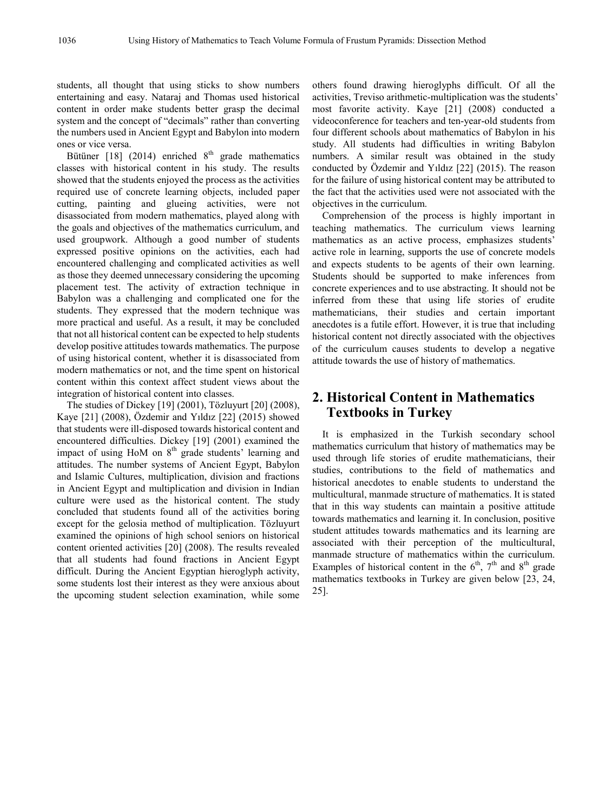students, all thought that using sticks to show numbers entertaining and easy. Nataraj and Thomas used historical content in order make students better grasp the decimal system and the concept of "decimals" rather than converting the numbers used in Ancient Egypt and Babylon into modern ones or vice versa.

Bütüner [18] (2014) enriched  $8<sup>th</sup>$  grade mathematics classes with historical content in his study. The results showed that the students enjoyed the process as the activities required use of concrete learning objects, included paper cutting, painting and glueing activities, were not disassociated from modern mathematics, played along with the goals and objectives of the mathematics curriculum, and used groupwork. Although a good number of students expressed positive opinions on the activities, each had encountered challenging and complicated activities as well as those they deemed unnecessary considering the upcoming placement test. The activity of extraction technique in Babylon was a challenging and complicated one for the students. They expressed that the modern technique was more practical and useful. As a result, it may be concluded that not all historical content can be expected to help students develop positive attitudes towards mathematics. The purpose of using historical content, whether it is disassociated from modern mathematics or not, and the time spent on historical content within this context affect student views about the integration of historical content into classes.

The studies of Dickey [19] (2001), Tözluyurt [20] (2008), Kaye [21] (2008), Özdemir and Yıldız [22] (2015) showed that students were ill-disposed towards historical content and encountered difficulties. Dickey [19] (2001) examined the impact of using HoM on  $8<sup>th</sup>$  grade students' learning and attitudes. The number systems of Ancient Egypt, Babylon and Islamic Cultures, multiplication, division and fractions in Ancient Egypt and multiplication and division in Indian culture were used as the historical content. The study concluded that students found all of the activities boring except for the gelosia method of multiplication. Tözluyurt examined the opinions of high school seniors on historical content oriented activities [20] (2008). The results revealed that all students had found fractions in Ancient Egypt difficult. During the Ancient Egyptian hieroglyph activity, some students lost their interest as they were anxious about the upcoming student selection examination, while some

others found drawing hieroglyphs difficult. Of all the activities, Treviso arithmetic-multiplication was the students' most favorite activity. Kaye [21] (2008) conducted a videoconference for teachers and ten-year-old students from four different schools about mathematics of Babylon in his study. All students had difficulties in writing Babylon numbers. A similar result was obtained in the study conducted by Özdemir and Yıldız [22] (2015). The reason for the failure of using historical content may be attributed to the fact that the activities used were not associated with the objectives in the curriculum.

Comprehension of the process is highly important in teaching mathematics. The curriculum views learning mathematics as an active process, emphasizes students' active role in learning, supports the use of concrete models and expects students to be agents of their own learning. Students should be supported to make inferences from concrete experiences and to use abstracting. It should not be inferred from these that using life stories of erudite mathematicians, their studies and certain important anecdotes is a futile effort. However, it is true that including historical content not directly associated with the objectives of the curriculum causes students to develop a negative attitude towards the use of history of mathematics.

# **2. Historical Content in Mathematics Textbooks in Turkey**

It is emphasized in the Turkish secondary school mathematics curriculum that history of mathematics may be used through life stories of erudite mathematicians, their studies, contributions to the field of mathematics and historical anecdotes to enable students to understand the multicultural, manmade structure of mathematics. It is stated that in this way students can maintain a positive attitude towards mathematics and learning it. In conclusion, positive student attitudes towards mathematics and its learning are associated with their perception of the multicultural, manmade structure of mathematics within the curriculum. Examples of historical content in the  $6<sup>th</sup>$ ,  $7<sup>th</sup>$  and  $8<sup>th</sup>$  grade mathematics textbooks in Turkey are given below [23, 24, 25].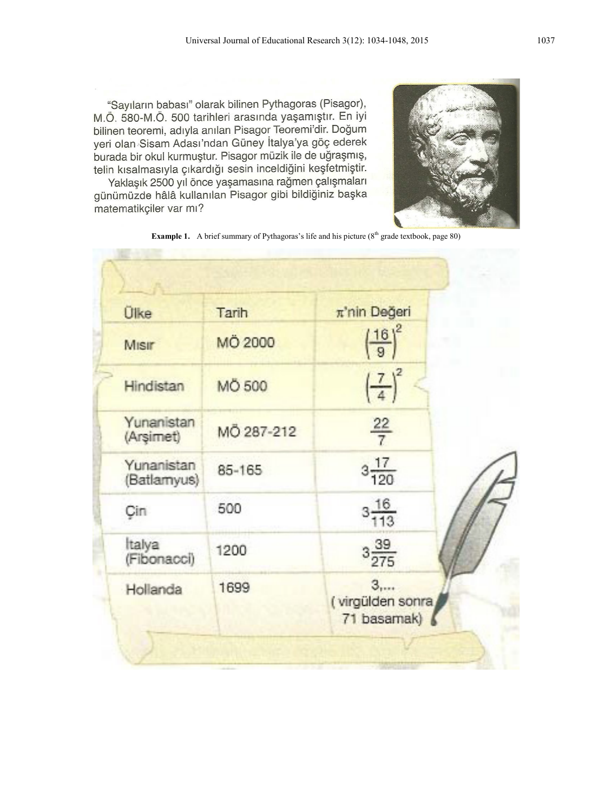"Savilarin babasi" olarak bilinen Pythagoras (Pisagor), M.Ö. 580-M.Ö. 500 tarihleri arasında yaşamıştır. En iyi bilinen teoremi, adıyla anılan Pisagor Teoremi'dir. Doğum yeri olan Sisam Adası'ndan Güney İtalya'ya göç ederek burada bir okul kurmuştur. Pisagor müzik ile de uğraşmış, telin kısalmasıyla çıkardığı sesin inceldiğini keşfetmiştir.

Yaklaşık 2500 yıl önce yaşamasına rağmen çalışmaları günümüzde hâlâ kullanılan Pisagor gibi bildiğiniz başka matematikçiler var mı?



**Example 1.** A brief summary of Pythagoras's life and his picture (8<sup>th</sup> grade textbook, page 80)

| <b>Ülke</b>               | Tarih         | π'nin Değeri                                      |  |
|---------------------------|---------------|---------------------------------------------------|--|
| Misir                     | MÖ 2000       | $\left(\frac{16}{9}\right)^2$                     |  |
| Hindistan                 | <b>MÖ 500</b> | $\left(\frac{7}{4}\right)^2$                      |  |
| Yunanistan<br>(Arsimet)   | MÖ 287-212    | $\frac{22}{7}$                                    |  |
| Yunanistan<br>(Batlamyus) | 85-165        | $3\frac{17}{120}$                                 |  |
| Cin                       | 500           | $3\frac{16}{113}$                                 |  |
| Italya<br>(Fibonacci)     | 1200          | $3\frac{39}{275}$                                 |  |
| Hollanda                  | 1699          | 3 <sub>1</sub><br>(virgülden sonra<br>71 basamak) |  |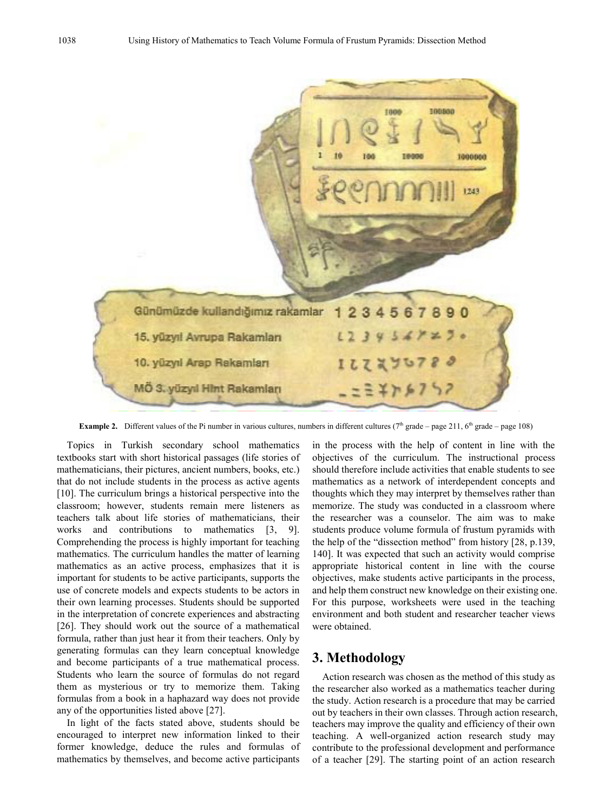

**Example 2.** Different values of the Pi number in various cultures, numbers in different cultures ( $7<sup>th</sup>$  grade – page 211,  $6<sup>th</sup>$  grade – page 108)

Topics in Turkish secondary school mathematics textbooks start with short historical passages (life stories of mathematicians, their pictures, ancient numbers, books, etc.) that do not include students in the process as active agents [10]. The curriculum brings a historical perspective into the classroom; however, students remain mere listeners as teachers talk about life stories of mathematicians, their works and contributions to mathematics [3, 9]. Comprehending the process is highly important for teaching mathematics. The curriculum handles the matter of learning mathematics as an active process, emphasizes that it is important for students to be active participants, supports the use of concrete models and expects students to be actors in their own learning processes. Students should be supported in the interpretation of concrete experiences and abstracting [26]. They should work out the source of a mathematical formula, rather than just hear it from their teachers. Only by generating formulas can they learn conceptual knowledge and become participants of a true mathematical process. Students who learn the source of formulas do not regard them as mysterious or try to memorize them. Taking formulas from a book in a haphazard way does not provide any of the opportunities listed above [27].

In light of the facts stated above, students should be encouraged to interpret new information linked to their former knowledge, deduce the rules and formulas of mathematics by themselves, and become active participants

in the process with the help of content in line with the objectives of the curriculum. The instructional process should therefore include activities that enable students to see mathematics as a network of interdependent concepts and thoughts which they may interpret by themselves rather than memorize. The study was conducted in a classroom where the researcher was a counselor. The aim was to make students produce volume formula of frustum pyramids with the help of the "dissection method" from history [28, p.139, 140]. It was expected that such an activity would comprise appropriate historical content in line with the course objectives, make students active participants in the process, and help them construct new knowledge on their existing one. For this purpose, worksheets were used in the teaching environment and both student and researcher teacher views were obtained.

### **3. Methodology**

Action research was chosen as the method of this study as the researcher also worked as a mathematics teacher during the study. Action research is a procedure that may be carried out by teachers in their own classes. Through action research, teachers may improve the quality and efficiency of their own teaching. A well-organized action research study may contribute to the professional development and performance of a teacher [29]. The starting point of an action research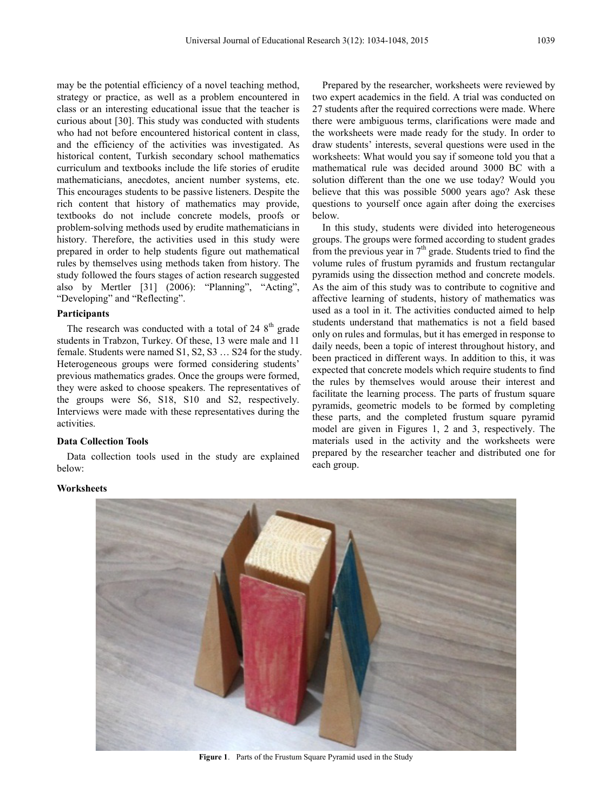may be the potential efficiency of a novel teaching method, strategy or practice, as well as a problem encountered in class or an interesting educational issue that the teacher is curious about [30]. This study was conducted with students who had not before encountered historical content in class, and the efficiency of the activities was investigated. As historical content, Turkish secondary school mathematics curriculum and textbooks include the life stories of erudite mathematicians, anecdotes, ancient number systems, etc. This encourages students to be passive listeners. Despite the rich content that history of mathematics may provide, textbooks do not include concrete models, proofs or problem-solving methods used by erudite mathematicians in history. Therefore, the activities used in this study were prepared in order to help students figure out mathematical rules by themselves using methods taken from history. The study followed the fours stages of action research suggested also by Mertler [31] (2006): "Planning", "Acting", "Developing" and "Reflecting".

#### **Participants**

The research was conducted with a total of  $248<sup>th</sup>$  grade students in Trabzon, Turkey. Of these, 13 were male and 11 female. Students were named S1, S2, S3 … S24 for the study. Heterogeneous groups were formed considering students' previous mathematics grades. Once the groups were formed, they were asked to choose speakers. The representatives of the groups were S6, S18, S10 and S2, respectively. Interviews were made with these representatives during the activities.

#### **Data Collection Tools**

Data collection tools used in the study are explained below:

Prepared by the researcher, worksheets were reviewed by two expert academics in the field. A trial was conducted on 27 students after the required corrections were made. Where there were ambiguous terms, clarifications were made and the worksheets were made ready for the study. In order to draw students' interests, several questions were used in the worksheets: What would you say if someone told you that a mathematical rule was decided around 3000 BC with a solution different than the one we use today? Would you believe that this was possible 5000 years ago? Ask these questions to yourself once again after doing the exercises below.

In this study, students were divided into heterogeneous groups. The groups were formed according to student grades from the previous year in  $7<sup>th</sup>$  grade. Students tried to find the volume rules of frustum pyramids and frustum rectangular pyramids using the dissection method and concrete models. As the aim of this study was to contribute to cognitive and affective learning of students, history of mathematics was used as a tool in it. The activities conducted aimed to help students understand that mathematics is not a field based only on rules and formulas, but it has emerged in response to daily needs, been a topic of interest throughout history, and been practiced in different ways. In addition to this, it was expected that concrete models which require students to find the rules by themselves would arouse their interest and facilitate the learning process. The parts of frustum square pyramids, geometric models to be formed by completing these parts, and the completed frustum square pyramid model are given in Figures 1, 2 and 3, respectively. The materials used in the activity and the worksheets were prepared by the researcher teacher and distributed one for each group.



#### **Figure 1**. Parts of the Frustum Square Pyramid used in the Study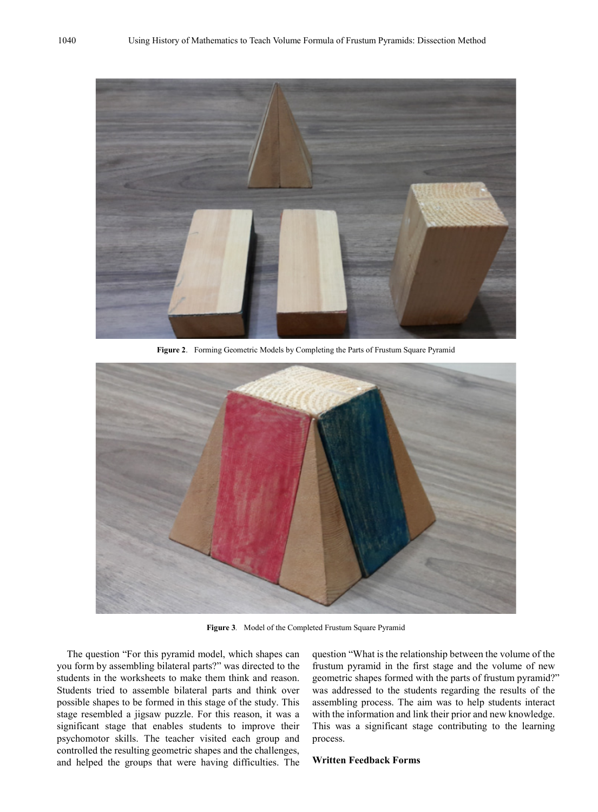

**Figure 2**. Forming Geometric Models by Completing the Parts of Frustum Square Pyramid



**Figure 3***.* Model of the Completed Frustum Square Pyramid

The question "For this pyramid model, which shapes can you form by assembling bilateral parts?" was directed to the students in the worksheets to make them think and reason. Students tried to assemble bilateral parts and think over possible shapes to be formed in this stage of the study. This stage resembled a jigsaw puzzle. For this reason, it was a significant stage that enables students to improve their psychomotor skills. The teacher visited each group and controlled the resulting geometric shapes and the challenges, and helped the groups that were having difficulties. The

question "What is the relationship between the volume of the frustum pyramid in the first stage and the volume of new geometric shapes formed with the parts of frustum pyramid?" was addressed to the students regarding the results of the assembling process. The aim was to help students interact with the information and link their prior and new knowledge. This was a significant stage contributing to the learning process.

#### **Written Feedback Forms**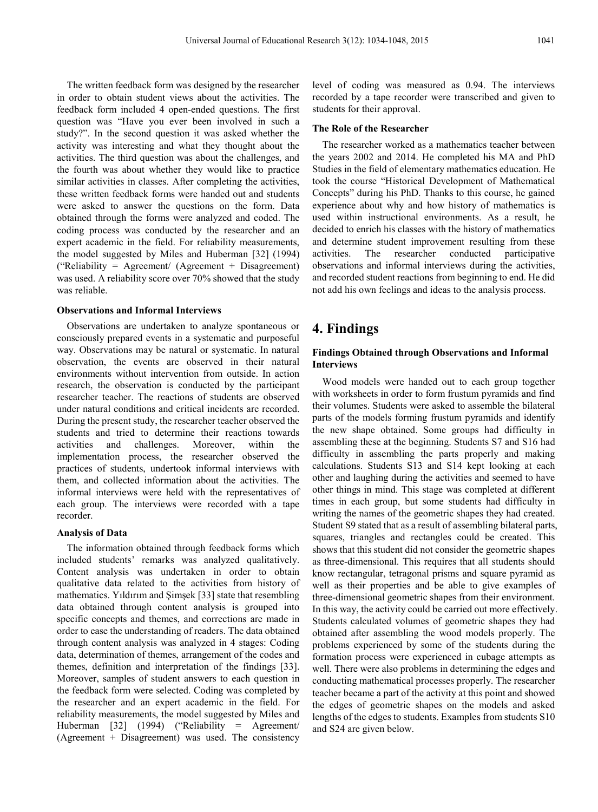The written feedback form was designed by the researcher in order to obtain student views about the activities. The feedback form included 4 open-ended questions. The first question was "Have you ever been involved in such a study?". In the second question it was asked whether the activity was interesting and what they thought about the activities. The third question was about the challenges, and the fourth was about whether they would like to practice similar activities in classes. After completing the activities, these written feedback forms were handed out and students were asked to answer the questions on the form. Data obtained through the forms were analyzed and coded. The coding process was conducted by the researcher and an expert academic in the field. For reliability measurements, the model suggested by Miles and Huberman [32] (1994) ("Reliability = Agreement/ (Agreement + Disagreement) was used. A reliability score over 70% showed that the study was reliable.

#### **Observations and Informal Interviews**

Observations are undertaken to analyze spontaneous or consciously prepared events in a systematic and purposeful way. Observations may be natural or systematic. In natural observation, the events are observed in their natural environments without intervention from outside. In action research, the observation is conducted by the participant researcher teacher. The reactions of students are observed under natural conditions and critical incidents are recorded. During the present study, the researcher teacher observed the students and tried to determine their reactions towards activities and challenges. Moreover, within the implementation process, the researcher observed the practices of students, undertook informal interviews with them, and collected information about the activities. The informal interviews were held with the representatives of each group. The interviews were recorded with a tape recorder.

#### **Analysis of Data**

The information obtained through feedback forms which included students' remarks was analyzed qualitatively. Content analysis was undertaken in order to obtain qualitative data related to the activities from history of mathematics. Yıldırım and Şimşek [33] state that resembling data obtained through content analysis is grouped into specific concepts and themes, and corrections are made in order to ease the understanding of readers. The data obtained through content analysis was analyzed in 4 stages: Coding data, determination of themes, arrangement of the codes and themes, definition and interpretation of the findings [33]. Moreover, samples of student answers to each question in the feedback form were selected. Coding was completed by the researcher and an expert academic in the field. For reliability measurements, the model suggested by Miles and Huberman [32] (1994) ("Reliability = Agreement/ (Agreement + Disagreement) was used. The consistency

level of coding was measured as 0.94. The interviews recorded by a tape recorder were transcribed and given to students for their approval.

#### **The Role of the Researcher**

The researcher worked as a mathematics teacher between the years 2002 and 2014. He completed his MA and PhD Studies in the field of elementary mathematics education. He took the course "Historical Development of Mathematical Concepts" during his PhD. Thanks to this course, he gained experience about why and how history of mathematics is used within instructional environments. As a result, he decided to enrich his classes with the history of mathematics and determine student improvement resulting from these activities. The researcher conducted participative observations and informal interviews during the activities, and recorded student reactions from beginning to end. He did not add his own feelings and ideas to the analysis process.

# **4. Findings**

#### **Findings Obtained through Observations and Informal Interviews**

Wood models were handed out to each group together with worksheets in order to form frustum pyramids and find their volumes. Students were asked to assemble the bilateral parts of the models forming frustum pyramids and identify the new shape obtained. Some groups had difficulty in assembling these at the beginning. Students S7 and S16 had difficulty in assembling the parts properly and making calculations. Students S13 and S14 kept looking at each other and laughing during the activities and seemed to have other things in mind. This stage was completed at different times in each group, but some students had difficulty in writing the names of the geometric shapes they had created. Student S9 stated that as a result of assembling bilateral parts, squares, triangles and rectangles could be created. This shows that this student did not consider the geometric shapes as three-dimensional. This requires that all students should know rectangular, tetragonal prisms and square pyramid as well as their properties and be able to give examples of three-dimensional geometric shapes from their environment. In this way, the activity could be carried out more effectively. Students calculated volumes of geometric shapes they had obtained after assembling the wood models properly. The problems experienced by some of the students during the formation process were experienced in cubage attempts as well. There were also problems in determining the edges and conducting mathematical processes properly. The researcher teacher became a part of the activity at this point and showed the edges of geometric shapes on the models and asked lengths of the edges to students. Examples from students S10 and S24 are given below.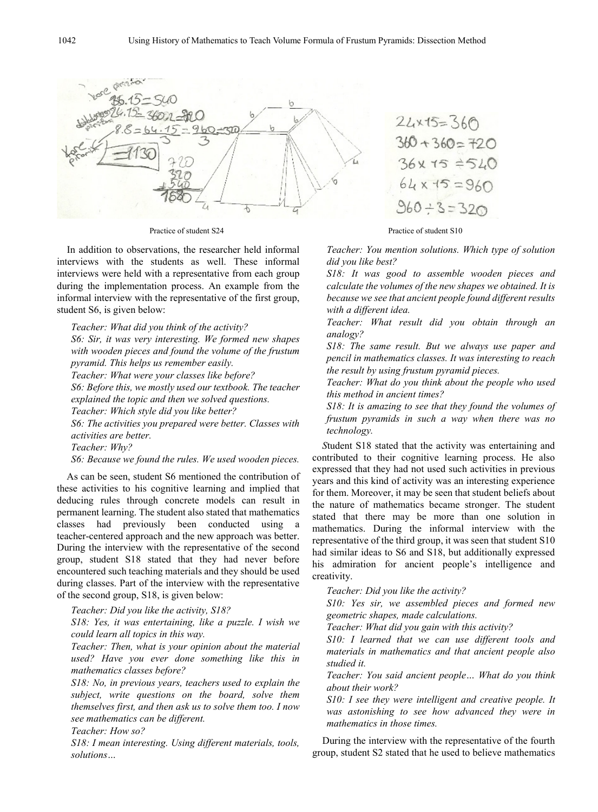

In addition to observations, the researcher held informal interviews with the students as well. These informal interviews were held with a representative from each group during the implementation process. An example from the informal interview with the representative of the first group, student S6, is given below:

*Teacher: What did you think of the activity?*

*S6: Sir, it was very interesting. We formed new shapes with wooden pieces and found the volume of the frustum pyramid. This helps us remember easily.*

*Teacher: What were your classes like before?*

*S6: Before this, we mostly used our textbook. The teacher explained the topic and then we solved questions.*

*Teacher: Which style did you like better?*

*S6: The activities you prepared were better. Classes with activities are better.*

*Teacher: Why?*

*S6: Because we found the rules. We used wooden pieces.* 

As can be seen, student S6 mentioned the contribution of these activities to his cognitive learning and implied that deducing rules through concrete models can result in permanent learning. The student also stated that mathematics classes had previously been conducted using a teacher-centered approach and the new approach was better. During the interview with the representative of the second group, student S18 stated that they had never before encountered such teaching materials and they should be used during classes. Part of the interview with the representative of the second group, S18, is given below:

*Teacher: Did you like the activity, S18?*

*S18: Yes, it was entertaining, like a puzzle. I wish we could learn all topics in this way.*

*Teacher: Then, what is your opinion about the material used? Have you ever done something like this in mathematics classes before?*

*S18: No, in previous years, teachers used to explain the subject, write questions on the board, solve them themselves first, and then ask us to solve them too. I now see mathematics can be different.*

*Teacher: How so?*

*S18: I mean interesting. Using different materials, tools, solutions…*

$$
22 \times 15 = 360
$$
  
360 + 360 = 720  
36 x 15 = 520  
64 x 15 = 960  
360 ÷ 3 = 320

Practice of student S24 Practice of student S10

*Teacher: You mention solutions. Which type of solution did you like best?*

*S18: It was good to assemble wooden pieces and calculate the volumes of the new shapes we obtained. It is because we see that ancient people found different results with a different idea.*

*Teacher: What result did you obtain through an analogy?*

*S18: The same result. But we always use paper and pencil in mathematics classes. It was interesting to reach the result by using frustum pyramid pieces.*

*Teacher: What do you think about the people who used this method in ancient times?*

*S18: It is amazing to see that they found the volumes of frustum pyramids in such a way when there was no technology.* 

*S*tudent S18 stated that the activity was entertaining and contributed to their cognitive learning process. He also expressed that they had not used such activities in previous years and this kind of activity was an interesting experience for them. Moreover, it may be seen that student beliefs about the nature of mathematics became stronger. The student stated that there may be more than one solution in mathematics. During the informal interview with the representative of the third group, it was seen that student S10 had similar ideas to S6 and S18, but additionally expressed his admiration for ancient people's intelligence and creativity.

*Teacher: Did you like the activity?*

*S10: Yes sir, we assembled pieces and formed new geometric shapes, made calculations.*

*Teacher: What did you gain with this activity?*

*S10: I learned that we can use different tools and materials in mathematics and that ancient people also studied it.*

*Teacher: You said ancient people… What do you think about their work?*

*S10: I see they were intelligent and creative people. It was astonishing to see how advanced they were in mathematics in those times.* 

During the interview with the representative of the fourth group, student S2 stated that he used to believe mathematics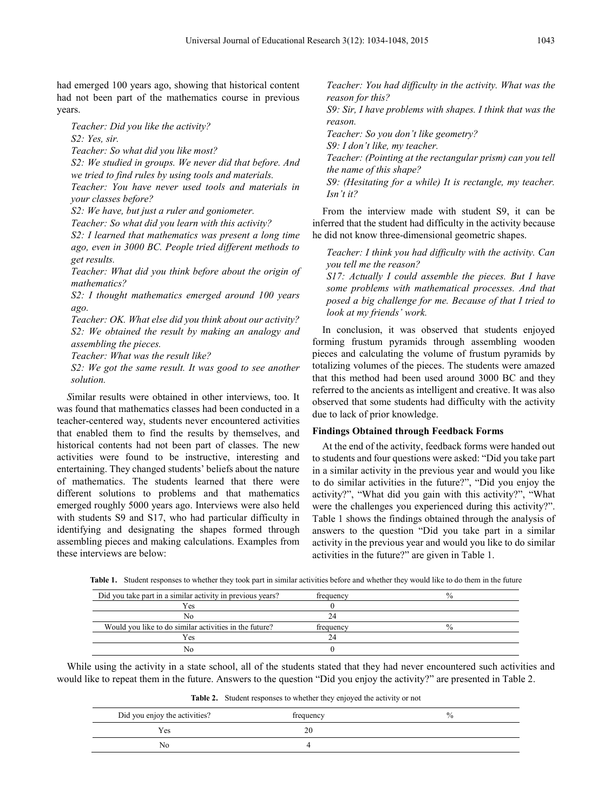had emerged 100 years ago, showing that historical content had not been part of the mathematics course in previous years.

*Teacher: Did you like the activity?*

*S2: Yes, sir.*

*Teacher: So what did you like most?*

*S2: We studied in groups. We never did that before. And we tried to find rules by using tools and materials.*

*Teacher: You have never used tools and materials in your classes before?*

*S2: We have, but just a ruler and goniometer.*

*Teacher: So what did you learn with this activity?*

*S2: I learned that mathematics was present a long time ago, even in 3000 BC. People tried different methods to get results.*

*Teacher: What did you think before about the origin of mathematics?*

*S2: I thought mathematics emerged around 100 years ago.*

*Teacher: OK. What else did you think about our activity? S2: We obtained the result by making an analogy and assembling the pieces.*

*Teacher: What was the result like?*

*S2: We got the same result. It was good to see another solution.*

*S*imilar results were obtained in other interviews, too. It was found that mathematics classes had been conducted in a teacher-centered way, students never encountered activities that enabled them to find the results by themselves, and historical contents had not been part of classes. The new activities were found to be instructive, interesting and entertaining. They changed students' beliefs about the nature of mathematics. The students learned that there were different solutions to problems and that mathematics emerged roughly 5000 years ago. Interviews were also held with students S9 and S17, who had particular difficulty in identifying and designating the shapes formed through assembling pieces and making calculations. Examples from these interviews are below:

*Teacher: You had difficulty in the activity. What was the reason for this?*

*S9: Sir, I have problems with shapes. I think that was the reason.*

*Teacher: So you don't like geometry?*

*S9: I don't like, my teacher.*

*Teacher: (Pointing at the rectangular prism) can you tell the name of this shape?*

*S9: (Hesitating for a while) It is rectangle, my teacher. Isn't it?*

From the interview made with student S9, it can be inferred that the student had difficulty in the activity because he did not know three-dimensional geometric shapes.

*Teacher: I think you had difficulty with the activity. Can you tell me the reason?*

*S17: Actually I could assemble the pieces. But I have some problems with mathematical processes. And that posed a big challenge for me. Because of that I tried to look at my friends' work.*

In conclusion, it was observed that students enjoyed forming frustum pyramids through assembling wooden pieces and calculating the volume of frustum pyramids by totalizing volumes of the pieces. The students were amazed that this method had been used around 3000 BC and they referred to the ancients as intelligent and creative. It was also observed that some students had difficulty with the activity due to lack of prior knowledge.

#### **Findings Obtained through Feedback Forms**

At the end of the activity, feedback forms were handed out to students and four questions were asked: "Did you take part in a similar activity in the previous year and would you like to do similar activities in the future?", "Did you enjoy the activity?", "What did you gain with this activity?", "What were the challenges you experienced during this activity?". Table 1 shows the findings obtained through the analysis of answers to the question "Did you take part in a similar activity in the previous year and would you like to do similar activities in the future?" are given in Table 1.

**Table 1.** Student responses to whether they took part in similar activities before and whether they would like to do them in the future

| Did you take part in a similar activity in previous years? | frequency | 70 |
|------------------------------------------------------------|-----------|----|
| Yes                                                        |           |    |
| Nο                                                         |           |    |
| Would you like to do similar activities in the future?     | frequency |    |
| Yes                                                        |           |    |
|                                                            |           |    |

While using the activity in a state school, all of the students stated that they had never encountered such activities and would like to repeat them in the future. Answers to the question "Did you enjoy the activity?" are presented in Table 2.

**Table 2.** Student responses to whether they enjoyed the activity or not

| Did you enjoy the activities? | frequency | $\frac{0}{0}$ |
|-------------------------------|-----------|---------------|
| Yes                           | ΖU        |               |
| No                            |           |               |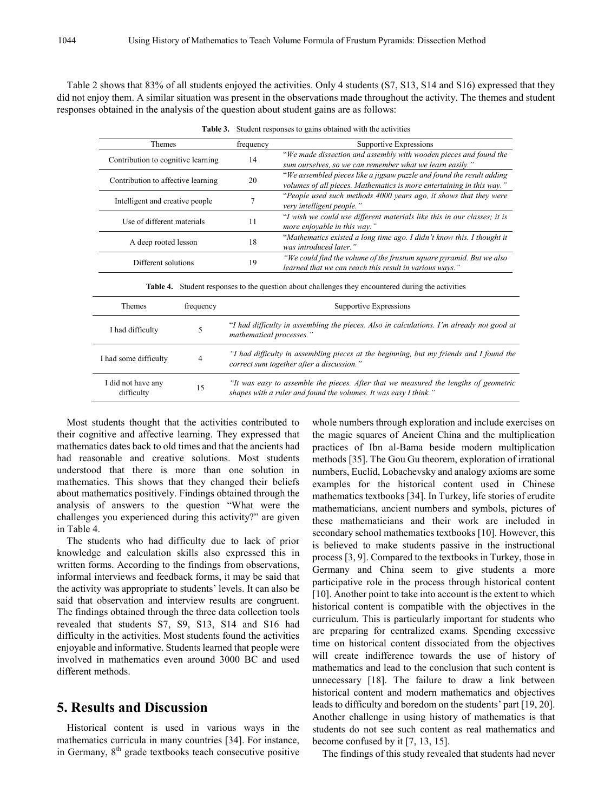Table 2 shows that 83% of all students enjoyed the activities. Only 4 students (S7, S13, S14 and S16) expressed that they did not enjoy them. A similar situation was present in the observations made throughout the activity. The themes and student responses obtained in the analysis of the question about student gains are as follows:

| <b>Themes</b>                                                                                                |           | frequency                                                                                                                                                | Supportive Expressions                                                                                                                         |  |
|--------------------------------------------------------------------------------------------------------------|-----------|----------------------------------------------------------------------------------------------------------------------------------------------------------|------------------------------------------------------------------------------------------------------------------------------------------------|--|
| Contribution to cognitive learning                                                                           |           | 14                                                                                                                                                       | "We made dissection and assembly with wooden pieces and found the<br>sum ourselves, so we can remember what we learn easily."                  |  |
| Contribution to affective learning                                                                           |           | 20                                                                                                                                                       | "We assembled pieces like a jigsaw puzzle and found the result adding<br>volumes of all pieces. Mathematics is more entertaining in this way." |  |
| Intelligent and creative people<br>7                                                                         |           |                                                                                                                                                          | "People used such methods 4000 years ago, it shows that they were<br>very intelligent people."                                                 |  |
| Use of different materials                                                                                   |           | 11                                                                                                                                                       | "I wish we could use different materials like this in our classes; it is<br>more enjoyable in this way."                                       |  |
| A deep rooted lesson                                                                                         |           | 18                                                                                                                                                       | "Mathematics existed a long time ago. I didn't know this. I thought it<br>was introduced later."                                               |  |
| Different solutions                                                                                          |           | "We could find the volume of the frustum square pyramid. But we also<br>19<br>learned that we can reach this result in various ways."                    |                                                                                                                                                |  |
| Student responses to the question about challenges they encountered during the activities<br><b>Table 4.</b> |           |                                                                                                                                                          |                                                                                                                                                |  |
| <b>Themes</b>                                                                                                | frequency | Supportive Expressions                                                                                                                                   |                                                                                                                                                |  |
| I had difficulty                                                                                             | 5         | "I had difficulty in assembling the pieces. Also in calculations. I'm already not good at<br>mathematical processes."                                    |                                                                                                                                                |  |
| I had some difficulty                                                                                        | 4         | "I had difficulty in assembling pieces at the beginning, but my friends and I found the<br>correct sum together after a discussion."                     |                                                                                                                                                |  |
| I did not have any<br>difficulty                                                                             | 15        | "It was easy to assemble the pieces. After that we measured the lengths of geometric<br>shapes with a ruler and found the volumes. It was easy I think." |                                                                                                                                                |  |

**Table 3.** Student responses to gains obtained with the activities

Most students thought that the activities contributed to their cognitive and affective learning. They expressed that mathematics dates back to old times and that the ancients had had reasonable and creative solutions. Most students understood that there is more than one solution in mathematics. This shows that they changed their beliefs about mathematics positively. Findings obtained through the analysis of answers to the question "What were the challenges you experienced during this activity?" are given in Table 4.

The students who had difficulty due to lack of prior knowledge and calculation skills also expressed this in written forms. According to the findings from observations, informal interviews and feedback forms, it may be said that the activity was appropriate to students' levels. It can also be said that observation and interview results are congruent. The findings obtained through the three data collection tools revealed that students S7, S9, S13, S14 and S16 had difficulty in the activities. Most students found the activities enjoyable and informative. Students learned that people were involved in mathematics even around 3000 BC and used different methods.

## **5. Results and Discussion**

Historical content is used in various ways in the mathematics curricula in many countries [34]. For instance, in Germany,  $8<sup>th</sup>$  grade textbooks teach consecutive positive

whole numbers through exploration and include exercises on the magic squares of Ancient China and the multiplication practices of Ibn al-Bama beside modern multiplication methods [35]. The Gou Gu theorem, exploration of irrational numbers, Euclid, Lobachevsky and analogy axioms are some examples for the historical content used in Chinese mathematics textbooks [34]. In Turkey, life stories of erudite mathematicians, ancient numbers and symbols, pictures of these mathematicians and their work are included in secondary school mathematics textbooks [10]. However, this is believed to make students passive in the instructional process [3, 9]. Compared to the textbooks in Turkey, those in Germany and China seem to give students a more participative role in the process through historical content [10]. Another point to take into account is the extent to which historical content is compatible with the objectives in the curriculum. This is particularly important for students who are preparing for centralized exams. Spending excessive time on historical content dissociated from the objectives will create indifference towards the use of history of mathematics and lead to the conclusion that such content is unnecessary [18]. The failure to draw a link between historical content and modern mathematics and objectives leads to difficulty and boredom on the students' part [19, 20]. Another challenge in using history of mathematics is that students do not see such content as real mathematics and become confused by it [7, 13, 15].

The findings of this study revealed that students had never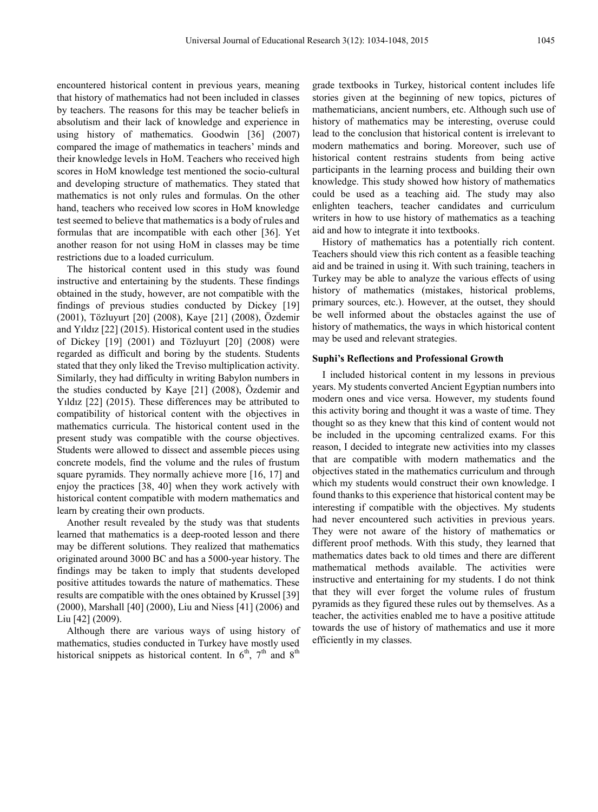encountered historical content in previous years, meaning that history of mathematics had not been included in classes by teachers. The reasons for this may be teacher beliefs in absolutism and their lack of knowledge and experience in using history of mathematics. Goodwin [36] (2007) compared the image of mathematics in teachers' minds and their knowledge levels in HoM. Teachers who received high scores in HoM knowledge test mentioned the socio-cultural and developing structure of mathematics. They stated that mathematics is not only rules and formulas. On the other hand, teachers who received low scores in HoM knowledge test seemed to believe that mathematics is a body of rules and formulas that are incompatible with each other [36]. Yet another reason for not using HoM in classes may be time restrictions due to a loaded curriculum.

The historical content used in this study was found instructive and entertaining by the students. These findings obtained in the study, however, are not compatible with the findings of previous studies conducted by Dickey [19] (2001), Tözluyurt [20] (2008), Kaye [21] (2008), Özdemir and Yıldız [22] (2015). Historical content used in the studies of Dickey [19] (2001) and Tözluyurt [20] (2008) were regarded as difficult and boring by the students. Students stated that they only liked the Treviso multiplication activity. Similarly, they had difficulty in writing Babylon numbers in the studies conducted by Kaye [21] (2008), Özdemir and Yıldız [22] (2015). These differences may be attributed to compatibility of historical content with the objectives in mathematics curricula. The historical content used in the present study was compatible with the course objectives. Students were allowed to dissect and assemble pieces using concrete models, find the volume and the rules of frustum square pyramids. They normally achieve more [16, 17] and enjoy the practices [38, 40] when they work actively with historical content compatible with modern mathematics and learn by creating their own products.

Another result revealed by the study was that students learned that mathematics is a deep-rooted lesson and there may be different solutions. They realized that mathematics originated around 3000 BC and has a 5000-year history. The findings may be taken to imply that students developed positive attitudes towards the nature of mathematics. These results are compatible with the ones obtained by Krussel [39] (2000), Marshall [40] (2000), Liu and Niess [41] (2006) and Liu [42] (2009).

Although there are various ways of using history of mathematics, studies conducted in Turkey have mostly used historical snippets as historical content. In  $6<sup>th</sup>$ ,  $7<sup>th</sup>$  and  $8<sup>th</sup>$ 

grade textbooks in Turkey, historical content includes life stories given at the beginning of new topics, pictures of mathematicians, ancient numbers, etc. Although such use of history of mathematics may be interesting, overuse could lead to the conclusion that historical content is irrelevant to modern mathematics and boring. Moreover, such use of historical content restrains students from being active participants in the learning process and building their own knowledge. This study showed how history of mathematics could be used as a teaching aid. The study may also enlighten teachers, teacher candidates and curriculum writers in how to use history of mathematics as a teaching aid and how to integrate it into textbooks.

History of mathematics has a potentially rich content. Teachers should view this rich content as a feasible teaching aid and be trained in using it. With such training, teachers in Turkey may be able to analyze the various effects of using history of mathematics (mistakes, historical problems, primary sources, etc.). However, at the outset, they should be well informed about the obstacles against the use of history of mathematics, the ways in which historical content may be used and relevant strategies.

#### **Suphi's Reflections and Professional Growth**

I included historical content in my lessons in previous years. My students converted Ancient Egyptian numbers into modern ones and vice versa. However, my students found this activity boring and thought it was a waste of time. They thought so as they knew that this kind of content would not be included in the upcoming centralized exams. For this reason, I decided to integrate new activities into my classes that are compatible with modern mathematics and the objectives stated in the mathematics curriculum and through which my students would construct their own knowledge. I found thanks to this experience that historical content may be interesting if compatible with the objectives. My students had never encountered such activities in previous years. They were not aware of the history of mathematics or different proof methods. With this study, they learned that mathematics dates back to old times and there are different mathematical methods available. The activities were instructive and entertaining for my students. I do not think that they will ever forget the volume rules of frustum pyramids as they figured these rules out by themselves. As a teacher, the activities enabled me to have a positive attitude towards the use of history of mathematics and use it more efficiently in my classes.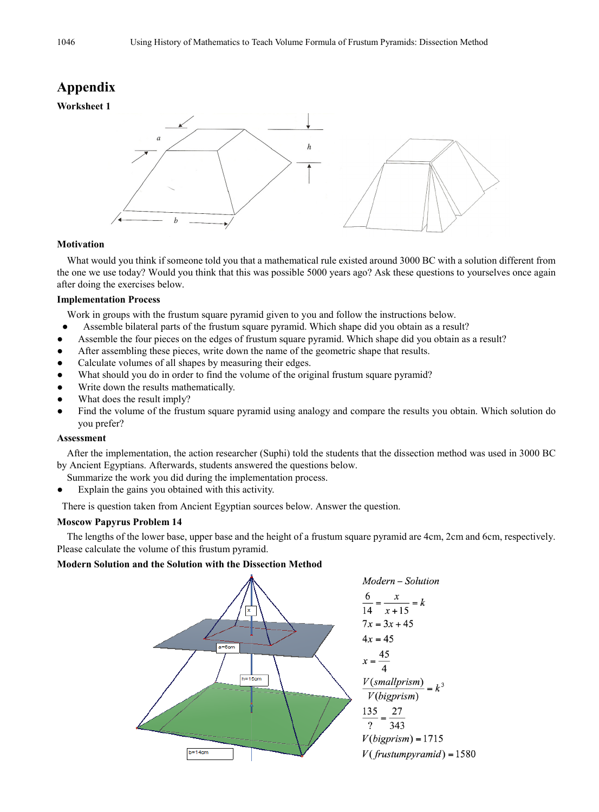# **Appendix**





#### **Motivation**

What would you think if someone told you that a mathematical rule existed around 3000 BC with a solution different from the one we use today? Would you think that this was possible 5000 years ago? Ask these questions to yourselves once again after doing the exercises below.

#### **Implementation Process**

Work in groups with the frustum square pyramid given to you and follow the instructions below.

- Assemble bilateral parts of the frustum square pyramid. Which shape did you obtain as a result?
- Assemble the four pieces on the edges of frustum square pyramid. Which shape did you obtain as a result?
- After assembling these pieces, write down the name of the geometric shape that results.
- Calculate volumes of all shapes by measuring their edges.
- What should you do in order to find the volume of the original frustum square pyramid?
- Write down the results mathematically.
- What does the result imply?
- Find the volume of the frustum square pyramid using analogy and compare the results you obtain. Which solution do you prefer?

#### **Assessment**

After the implementation, the action researcher (Suphi) told the students that the dissection method was used in 3000 BC by Ancient Egyptians. Afterwards, students answered the questions below.

- Summarize the work you did during the implementation process.
- Explain the gains you obtained with this activity.

There is question taken from Ancient Egyptian sources below. Answer the question.

#### **Moscow Papyrus Problem 14**

The lengths of the lower base, upper base and the height of a frustum square pyramid are 4cm, 2cm and 6cm, respectively. Please calculate the volume of this frustum pyramid.

#### **Modern Solution and the Solution with the Dissection Method**

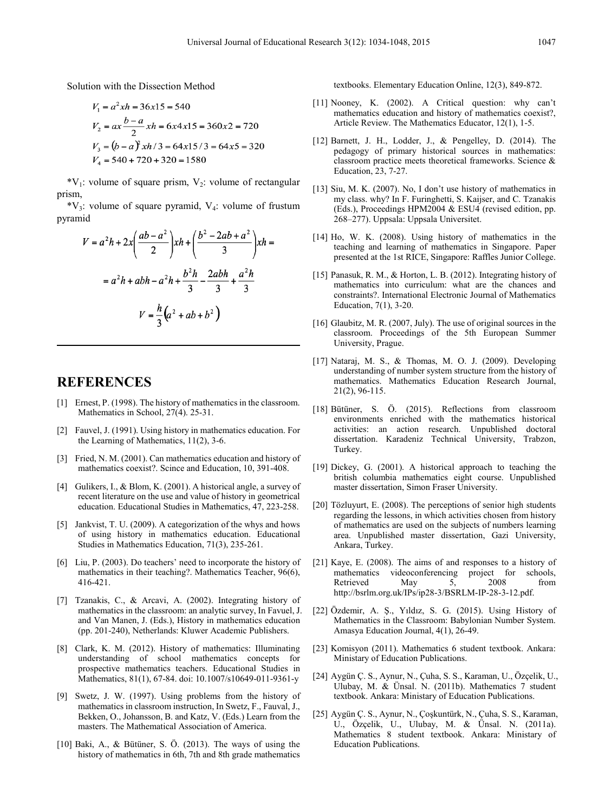Solution with the Dissection Method

$$
V_1 = a^2xh = 36x15 = 540
$$
  
\n
$$
V_2 = ax \frac{b-a}{2}xh = 6x4x15 = 360x2 = 720
$$
  
\n
$$
V_3 = (b-a)^2xh/3 = 64x15/3 = 64x5 = 320
$$
  
\n
$$
V_4 = 540 + 720 + 320 = 1580
$$

 $*V_1$ : volume of square prism,  $V_2$ : volume of rectangular prism,

 $*V_3$ : volume of square pyramid,  $V_4$ : volume of frustum pyramid

$$
V = a2h + 2x\left(\frac{ab - a2}{2}\right)xh + \left(\frac{b2 - 2ab + a2}{3}\right)xh =
$$

$$
= a2h + abh - a2h + \frac{b2h}{3} - \frac{2abh}{3} + \frac{a2h}{3}
$$

$$
V = \frac{h}{3}\left(a2 + ab + b2\right)
$$

# **REFERENCES**

- [1] Ernest, P. (1998). The history of mathematics in the classroom. Mathematics in School, 27(4). 25-31.
- [2] Fauvel, J. (1991). Using history in mathematics education. For the Learning of Mathematics, 11(2), 3-6.
- [3] Fried, N. M. (2001). Can mathematics education and history of mathematics coexist?. Scince and Education, 10, 391-408.
- [4] Gulikers, I., & Blom, K. (2001). A historical angle, a survey of recent literature on the use and value of history in geometrical education. Educational Studies in Mathematics, 47, 223-258.
- [5] Jankvist, T. U. (2009). A categorization of the whys and hows of using history in mathematics education. Educational Studies in Mathematics Education, 71(3), 235-261.
- [6] Liu, P. (2003). Do teachers' need to incorporate the history of mathematics in their teaching?. Mathematics Teacher, 96(6), 416-421.
- [7] Tzanakis, C., & Arcavi, A. (2002). Integrating history of mathematics in the classroom: an analytic survey, In Favuel, J. and Van Manen, J. (Eds.), History in mathematics education (pp. 201-240), Netherlands: Kluwer Academic Publishers.
- [8] Clark, K. M. (2012). History of mathematics: Illuminating understanding of school mathematics concepts for prospective mathematics teachers. Educational Studies in Mathematics, 81(1), 67-84. doi: 10.1007/s10649-011-9361-y
- [9] Swetz, J. W. (1997). Using problems from the history of mathematics in classroom instruction, In Swetz, F., Fauval, J., Bekken, O., Johansson, B. and Katz, V. (Eds.) Learn from the masters. The Mathematical Association of America.
- [10] Baki, A., & Bütüner, S. Ö. (2013). The ways of using the history of mathematics in 6th, 7th and 8th grade mathematics

textbooks. Elementary Education Online, 12(3), 849-872.

- [11] Nooney, K. (2002). A Critical question: why can't mathematics education and history of mathematics coexist?, Article Review. The Mathematics Educator, 12(1), 1-5.
- [12] Barnett, J. H., Lodder, J., & Pengelley, D. (2014). The pedagogy of primary historical sources in mathematics: classroom practice meets theoretical frameworks. Science & Education, 23, 7-27.
- [13] Siu, M. K. (2007). No, I don't use history of mathematics in my class. why? In F. Furinghetti, S. Kaijser, and C. Tzanakis (Eds.), Proceedings HPM2004 & ESU4 (revised edition, pp. 268–277). Uppsala: Uppsala Universitet.
- [14] Ho, W. K. (2008). Using history of mathematics in the teaching and learning of mathematics in Singapore. Paper presented at the 1st RICE, Singapore: Raffles Junior College.
- [15] Panasuk, R. M., & Horton, L. B. (2012). Integrating history of mathematics into curriculum: what are the chances and constraints?. International Electronic Journal of Mathematics Education, 7(1), 3-20.
- [16] Glaubitz, M. R. (2007, July). The use of original sources in the classroom. Proceedings of the 5th European Summer University, Prague.
- [17] Nataraj, M. S., & Thomas, M. O. J. (2009). Developing understanding of number system structure from the history of mathematics. Mathematics Education Research Journal, 21(2), 96-115.
- [18] Bütüner, S. Ö. (2015). Reflections from classroom environments enriched with the mathematics historical activities: an action research. Unpublished doctoral dissertation. Karadeniz Technical University, Trabzon, Turkey.
- [19] Dickey, G. (2001). A historical approach to teaching the british columbia mathematics eight course. Unpublished master dissertation, Simon Fraser University.
- [20] Tözluyurt, E. (2008). The perceptions of senior high students regarding the lessons, in which activities chosen from history of mathematics are used on the subjects of numbers learning area. Unpublished master dissertation, Gazi University, Ankara, Turkey.
- [21] Kaye, E. (2008). The aims of and responses to a history of mathematics videoconferencing project for schools, Retrieved May 5, 2008 from http://bsrlm.org.uk/IPs/ip28-3/BSRLM-IP-28-3-12.pdf.
- [22] Özdemir, A. Ş., Yıldız, S. G. (2015). Using History of Mathematics in the Classroom: Babylonian Number System. Amasya Education Journal, 4(1), 26-49.
- [23] Komisyon (2011). Mathematics 6 student textbook. Ankara: Ministary of Education Publications.
- [24] Aygün Ç. S., Aynur, N., Çuha, S. S., Karaman, U., Özçelik, U., Ulubay, M. & Ünsal. N. (2011b). Mathematics 7 student textbook. Ankara: Ministary of Education Publications.
- [25] Aygün Ç. S., Aynur, N., Çoşkuntürk, N., Çuha, S. S., Karaman, U., Özçelik, U., Ulubay, M. & Ünsal. N. (2011a). Mathematics 8 student textbook. Ankara: Ministary of Education Publications.